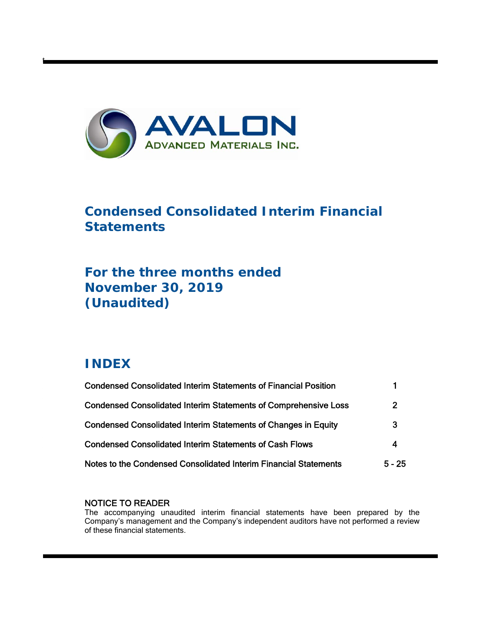

# **Condensed Consolidated Interim Financial Statements**

# **For the three months ended November 30, 2019 (Unaudited)**

# **INDEX**

t

| <b>Condensed Consolidated Interim Statements of Financial Position</b> |                |
|------------------------------------------------------------------------|----------------|
| <b>Condensed Consolidated Interim Statements of Comprehensive Loss</b> | $\overline{2}$ |
| <b>Condensed Consolidated Interim Statements of Changes in Equity</b>  | 3              |
| <b>Condensed Consolidated Interim Statements of Cash Flows</b>         | 4              |
| Notes to the Condensed Consolidated Interim Financial Statements       | $5 - 25$       |

## NOTICE TO READER

The accompanying unaudited interim financial statements have been prepared by the Company's management and the Company's independent auditors have not performed a review of these financial statements.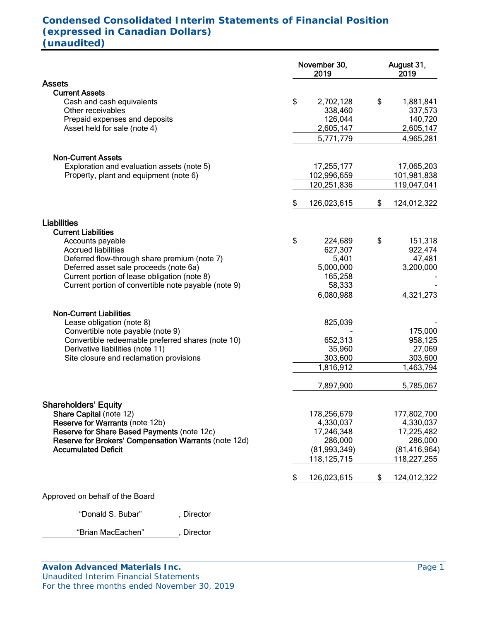# **Condensed Consolidated Interim Statements of Financial Position (expressed in Canadian Dollars) (unaudited)**

|                                                       | November 30,<br>2019 | August 31,<br>2019 |
|-------------------------------------------------------|----------------------|--------------------|
| <b>Assets</b>                                         |                      |                    |
| <b>Current Assets</b>                                 |                      |                    |
| Cash and cash equivalents                             | \$<br>2,702,128      | \$<br>1,881,841    |
| Other receivables                                     | 338,460              | 337,573            |
| Prepaid expenses and deposits                         | 126,044              | 140,720            |
| Asset held for sale (note 4)                          | 2,605,147            | 2,605,147          |
|                                                       | 5,771,779            | 4,965,281          |
| <b>Non-Current Assets</b>                             |                      |                    |
| Exploration and evaluation assets (note 5)            | 17,255,177           | 17,065,203         |
| Property, plant and equipment (note 6)                | 102,996,659          | 101,981,838        |
|                                                       | 120,251,836          | 119,047,041        |
|                                                       | \$<br>126,023,615    | \$<br>124,012,322  |
| <b>Liabilities</b>                                    |                      |                    |
| <b>Current Liabilities</b>                            |                      |                    |
| Accounts payable                                      | \$<br>224,689        | \$<br>151,318      |
| <b>Accrued liabilities</b>                            | 627,307              | 922,474            |
| Deferred flow-through share premium (note 7)          | 5,401                | 47,481             |
| Deferred asset sale proceeds (note 6a)                | 5,000,000            | 3,200,000          |
| Current portion of lease obligation (note 8)          | 165,258              |                    |
| Current portion of convertible note payable (note 9)  | 58,333               |                    |
|                                                       | 6,080,988            | 4,321,273          |
| <b>Non-Current Liabilities</b>                        |                      |                    |
| Lease obligation (note 8)                             | 825,039              |                    |
| Convertible note payable (note 9)                     |                      | 175,000            |
| Convertible redeemable preferred shares (note 10)     | 652,313              | 958,125            |
| Derivative liabilities (note 11)                      | 35,960               | 27,069             |
| Site closure and reclamation provisions               | 303,600              | 303,600            |
|                                                       | 1,816,912            | 1,463,794          |
|                                                       | 7,897,900            | 5,785,067          |
| <b>Shareholders' Equity</b>                           |                      |                    |
| Share Capital (note 12)                               | 178,256,679          | 177,802,700        |
| Reserve for Warrants (note 12b)                       | 4,330,037            | 4,330,037          |
| Reserve for Share Based Payments (note 12c)           | 17,246,348           | 17,225,482         |
| Reserve for Brokers' Compensation Warrants (note 12d) | 286,000              | 286,000            |
| <b>Accumulated Deficit</b>                            | (81,993,349)         | (81, 416, 964)     |
|                                                       | 118, 125, 715        | 118,227,255        |
|                                                       | 126,023,615          | \$<br>124,012,322  |
| Approved on behalf of the Board                       |                      |                    |

"Donald S. Bubar" , Director

"Brian MacEachen" , Director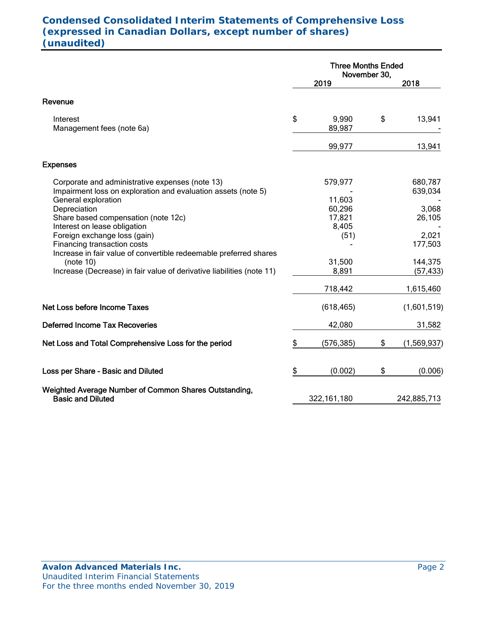# **Condensed Consolidated Interim Statements of Comprehensive Loss (expressed in Canadian Dollars, except number of shares) (unaudited)**

|                                                                                                                                  | <b>Three Months Ended</b><br>November 30, |                                     |    |                      |
|----------------------------------------------------------------------------------------------------------------------------------|-------------------------------------------|-------------------------------------|----|----------------------|
|                                                                                                                                  |                                           | 2019                                |    | 2018                 |
| Revenue                                                                                                                          |                                           |                                     |    |                      |
| Interest<br>Management fees (note 6a)                                                                                            | \$                                        | 9,990<br>89,987                     | \$ | 13,941               |
|                                                                                                                                  |                                           | 99,977                              |    | 13,941               |
| <b>Expenses</b>                                                                                                                  |                                           |                                     |    |                      |
| Corporate and administrative expenses (note 13)<br>Impairment loss on exploration and evaluation assets (note 5)                 |                                           | 579,977                             |    | 680,787<br>639,034   |
| General exploration<br>Depreciation<br>Share based compensation (note 12c)<br>Interest on lease obligation                       |                                           | 11,603<br>60,296<br>17,821<br>8,405 |    | 3,068<br>26,105      |
| Foreign exchange loss (gain)<br>Financing transaction costs<br>Increase in fair value of convertible redeemable preferred shares |                                           | (51)                                |    | 2,021<br>177,503     |
| (note 10)<br>Increase (Decrease) in fair value of derivative liabilities (note 11)                                               |                                           | 31,500<br>8,891                     |    | 144,375<br>(57, 433) |
|                                                                                                                                  |                                           | 718,442                             |    | 1,615,460            |
| Net Loss before Income Taxes                                                                                                     |                                           | (618, 465)                          |    | (1,601,519)          |
| <b>Deferred Income Tax Recoveries</b>                                                                                            |                                           | 42,080                              |    | 31,582               |
| Net Loss and Total Comprehensive Loss for the period                                                                             | \$                                        | (576, 385)                          | \$ | (1,569,937)          |
| Loss per Share - Basic and Diluted                                                                                               | \$                                        | (0.002)                             | \$ | (0.006)              |
| Weighted Average Number of Common Shares Outstanding,<br><b>Basic and Diluted</b>                                                |                                           | 322, 161, 180                       |    | 242,885,713          |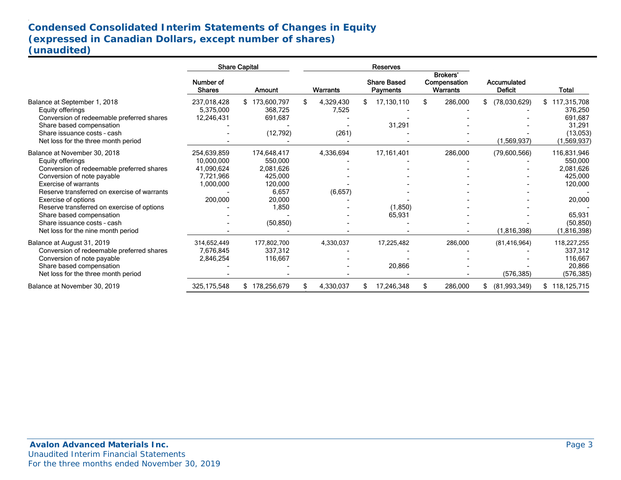# **Condensed Consolidated Interim Statements of Changes in Equity (expressed in Canadian Dollars, except number of shares) (unaudited)**

|                                                                                                                                                                                                                                                                                                                                                                                 |                                                                              | <b>Share Capital</b>                                                                               |                             | Reserves                              |                                             |                                   |                                                                                                             |
|---------------------------------------------------------------------------------------------------------------------------------------------------------------------------------------------------------------------------------------------------------------------------------------------------------------------------------------------------------------------------------|------------------------------------------------------------------------------|----------------------------------------------------------------------------------------------------|-----------------------------|---------------------------------------|---------------------------------------------|-----------------------------------|-------------------------------------------------------------------------------------------------------------|
|                                                                                                                                                                                                                                                                                                                                                                                 | Number of<br><b>Shares</b>                                                   | Amount                                                                                             | Warrants                    | <b>Share Based</b><br><b>Payments</b> | <b>Brokers'</b><br>Compensation<br>Warrants | Accumulated<br><b>Deficit</b>     | Total                                                                                                       |
| Balance at September 1, 2018<br>Equity offerings<br>Conversion of redeemable preferred shares<br>Share based compensation<br>Share issuance costs - cash<br>Net loss for the three month period                                                                                                                                                                                 | 237,018,428<br>5,375,000<br>12,246,431                                       | \$173,600,797<br>368,725<br>691,687<br>(12, 792)                                                   | 4,329,430<br>7,525<br>(261) | 17,130,110<br>31,291                  | 286,000<br>\$                               | (78,030,629)<br>\$<br>(1,569,937) | 117,315,708<br>\$<br>376,250<br>691,687<br>31,291<br>(13,053)<br>(1,569,937)                                |
| Balance at November 30, 2018<br>Equity offerings<br>Conversion of redeemable preferred shares<br>Conversion of note payable<br><b>Exercise of warrants</b><br>Reserve transferred on exercise of warrants<br>Exercise of options<br>Reserve transferred on exercise of options<br>Share based compensation<br>Share issuance costs - cash<br>Net loss for the nine month period | 254,639,859<br>10,000,000<br>41,090,624<br>7,721,966<br>1,000,000<br>200,000 | 174,648,417<br>550,000<br>2,081,626<br>425,000<br>120,000<br>6,657<br>20,000<br>1,850<br>(50, 850) | 4,336,694<br>(6,657)        | 17,161,401<br>(1,850)<br>65,931       | 286,000                                     | (79,600,566)<br>(1,816,398)       | 116,831,946<br>550,000<br>2,081,626<br>425,000<br>120,000<br>20,000<br>65,931<br>(50, 850)<br>(1, 816, 398) |
| Balance at August 31, 2019<br>Conversion of redeemable preferred shares<br>Conversion of note payable<br>Share based compensation<br>Net loss for the three month period                                                                                                                                                                                                        | 314,652,449<br>7,676,845<br>2,846,254                                        | 177,802,700<br>337,312<br>116,667                                                                  | 4,330,037                   | 17,225,482<br>20,866                  | 286,000                                     | (81, 416, 964)<br>(576, 385)      | 118,227,255<br>337,312<br>116,667<br>20,866<br>(576, 385)                                                   |
| Balance at November 30, 2019                                                                                                                                                                                                                                                                                                                                                    | 325, 175, 548                                                                | \$178,256,679                                                                                      | 4,330,037                   | 17,246,348                            | 286,000<br>S.                               | (81,993,349)<br>S.                | \$118,125,715                                                                                               |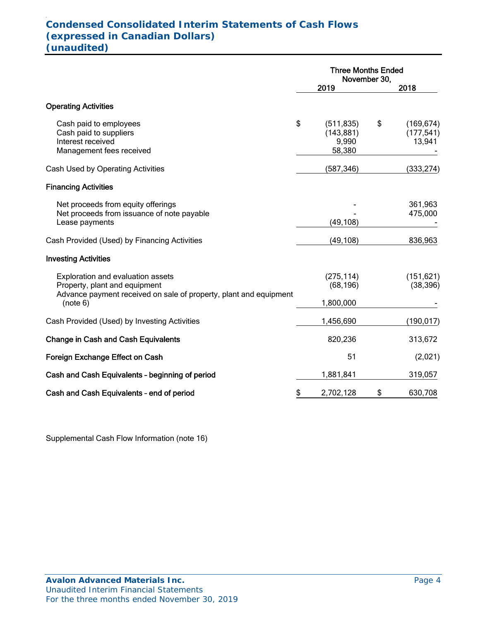## . **Condensed Consolidated Interim Statements of Cash Flows (expressed in Canadian Dollars) (unaudited)**

|                                                                                                                                         | <b>Three Months Ended</b><br>November 30,         |    |                                    |  |
|-----------------------------------------------------------------------------------------------------------------------------------------|---------------------------------------------------|----|------------------------------------|--|
|                                                                                                                                         | 2019                                              |    | 2018                               |  |
| <b>Operating Activities</b>                                                                                                             |                                                   |    |                                    |  |
| Cash paid to employees<br>Cash paid to suppliers<br>Interest received<br>Management fees received                                       | \$<br>(511, 835)<br>(143, 881)<br>9,990<br>58,380 | \$ | (169, 674)<br>(177, 541)<br>13,941 |  |
| Cash Used by Operating Activities                                                                                                       | (587, 346)                                        |    | (333, 274)                         |  |
| <b>Financing Activities</b>                                                                                                             |                                                   |    |                                    |  |
| Net proceeds from equity offerings<br>Net proceeds from issuance of note payable<br>Lease payments                                      | (49, 108)                                         |    | 361,963<br>475,000                 |  |
| Cash Provided (Used) by Financing Activities                                                                                            | (49, 108)                                         |    | 836,963                            |  |
| <b>Investing Activities</b>                                                                                                             |                                                   |    |                                    |  |
| Exploration and evaluation assets<br>Property, plant and equipment<br>Advance payment received on sale of property, plant and equipment | (275, 114)<br>(68, 196)                           |    | (151, 621)<br>(38, 396)            |  |
| (note 6)                                                                                                                                | 1,800,000                                         |    |                                    |  |
| Cash Provided (Used) by Investing Activities                                                                                            | 1,456,690                                         |    | (190,017)                          |  |
| <b>Change in Cash and Cash Equivalents</b>                                                                                              | 820,236                                           |    | 313,672                            |  |
| Foreign Exchange Effect on Cash                                                                                                         | 51                                                |    | (2,021)                            |  |
| Cash and Cash Equivalents - beginning of period                                                                                         | 1,881,841                                         |    | 319,057                            |  |
| Cash and Cash Equivalents - end of period                                                                                               | \$<br>2,702,128                                   | \$ | 630,708                            |  |

Supplemental Cash Flow Information (note 16)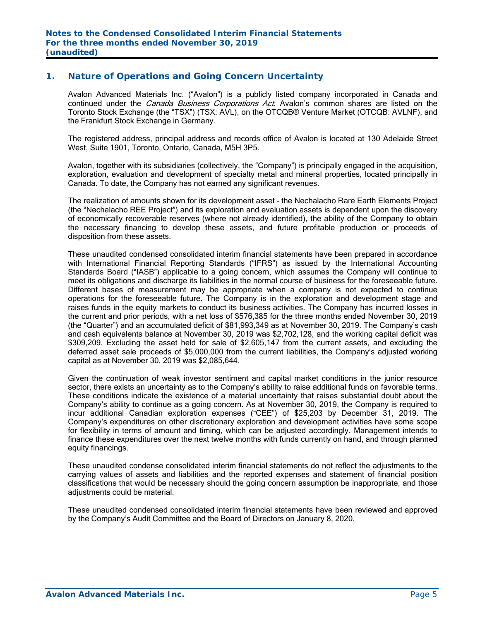## **1. Nature of Operations and Going Concern Uncertainty**

Avalon Advanced Materials Inc. ("Avalon") is a publicly listed company incorporated in Canada and continued under the *Canada Business Corporations Act*. Avalon's common shares are listed on the Toronto Stock Exchange (the "TSX") (TSX: AVL), on the OTCQB® Venture Market (OTCQB: AVLNF), and the Frankfurt Stock Exchange in Germany.

The registered address, principal address and records office of Avalon is located at 130 Adelaide Street West, Suite 1901, Toronto, Ontario, Canada, M5H 3P5.

Avalon, together with its subsidiaries (collectively, the "Company") is principally engaged in the acquisition, exploration, evaluation and development of specialty metal and mineral properties, located principally in Canada. To date, the Company has not earned any significant revenues.

The realization of amounts shown for its development asset – the Nechalacho Rare Earth Elements Project (the "Nechalacho REE Project") and its exploration and evaluation assets is dependent upon the discovery of economically recoverable reserves (where not already identified), the ability of the Company to obtain the necessary financing to develop these assets, and future profitable production or proceeds of disposition from these assets.

These unaudited condensed consolidated interim financial statements have been prepared in accordance with International Financial Reporting Standards ("IFRS") as issued by the International Accounting Standards Board ("IASB") applicable to a going concern, which assumes the Company will continue to meet its obligations and discharge its liabilities in the normal course of business for the foreseeable future. Different bases of measurement may be appropriate when a company is not expected to continue operations for the foreseeable future. The Company is in the exploration and development stage and raises funds in the equity markets to conduct its business activities. The Company has incurred losses in the current and prior periods, with a net loss of \$576,385 for the three months ended November 30, 2019 (the "Quarter") and an accumulated deficit of \$81,993,349 as at November 30, 2019. The Company's cash and cash equivalents balance at November 30, 2019 was \$2,702,128, and the working capital deficit was \$309,209. Excluding the asset held for sale of \$2,605,147 from the current assets, and excluding the deferred asset sale proceeds of \$5,000,000 from the current liabilities, the Company's adjusted working capital as at November 30, 2019 was \$2,085,644.

Given the continuation of weak investor sentiment and capital market conditions in the junior resource sector, there exists an uncertainty as to the Company's ability to raise additional funds on favorable terms. These conditions indicate the existence of a material uncertainty that raises substantial doubt about the Company's ability to continue as a going concern. As at November 30, 2019, the Company is required to incur additional Canadian exploration expenses ("CEE") of \$25,203 by December 31, 2019. The Company's expenditures on other discretionary exploration and development activities have some scope for flexibility in terms of amount and timing, which can be adjusted accordingly. Management intends to finance these expenditures over the next twelve months with funds currently on hand, and through planned equity financings.

These unaudited condense consolidated interim financial statements do not reflect the adjustments to the carrying values of assets and liabilities and the reported expenses and statement of financial position classifications that would be necessary should the going concern assumption be inappropriate, and those adjustments could be material.

These unaudited condensed consolidated interim financial statements have been reviewed and approved by the Company's Audit Committee and the Board of Directors on January 8, 2020.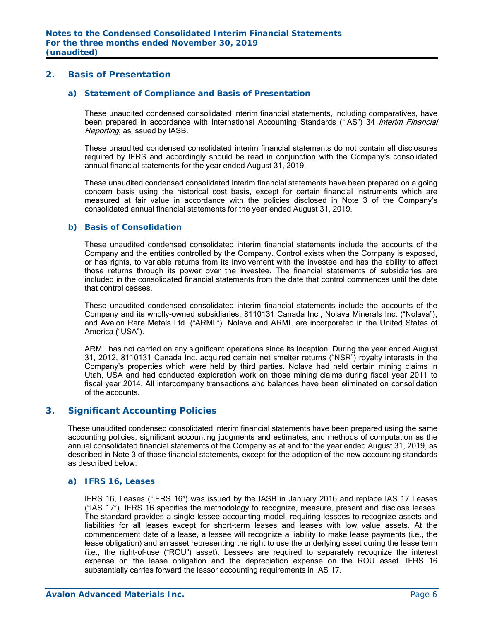## **2. Basis of Presentation**

#### *a) Statement of Compliance and Basis of Presentation*

 These unaudited condensed consolidated interim financial statements, including comparatives, have been prepared in accordance with International Accounting Standards ("IAS") 34 Interim Financial Reporting, as issued by IASB.

 These unaudited condensed consolidated interim financial statements do not contain all disclosures required by IFRS and accordingly should be read in conjunction with the Company's consolidated annual financial statements for the year ended August 31, 2019.

 These unaudited condensed consolidated interim financial statements have been prepared on a going concern basis using the historical cost basis, except for certain financial instruments which are measured at fair value in accordance with the policies disclosed in Note 3 of the Company's consolidated annual financial statements for the year ended August 31, 2019.

#### *b) Basis of Consolidation*

 These unaudited condensed consolidated interim financial statements include the accounts of the Company and the entities controlled by the Company. Control exists when the Company is exposed, or has rights, to variable returns from its involvement with the investee and has the ability to affect those returns through its power over the investee. The financial statements of subsidiaries are included in the consolidated financial statements from the date that control commences until the date that control ceases.

 These unaudited condensed consolidated interim financial statements include the accounts of the Company and its wholly-owned subsidiaries, 8110131 Canada Inc., Nolava Minerals Inc. ("Nolava"), and Avalon Rare Metals Ltd. ("ARML"). Nolava and ARML are incorporated in the United States of America ("USA").

 ARML has not carried on any significant operations since its inception. During the year ended August 31, 2012, 8110131 Canada Inc. acquired certain net smelter returns ("NSR") royalty interests in the Company's properties which were held by third parties. Nolava had held certain mining claims in Utah, USA and had conducted exploration work on those mining claims during fiscal year 2011 to fiscal year 2014. All intercompany transactions and balances have been eliminated on consolidation of the accounts.

## **3. Significant Accounting Policies**

These unaudited condensed consolidated interim financial statements have been prepared using the same accounting policies, significant accounting judgments and estimates, and methods of computation as the annual consolidated financial statements of the Company as at and for the year ended August 31, 2019, as described in Note 3 of those financial statements, except for the adoption of the new accounting standards as described below:

## *a) IFRS 16, Leases*

 IFRS 16, Leases ("IFRS 16") was issued by the IASB in January 2016 and replace IAS 17 Leases ("IAS 17"). IFRS 16 specifies the methodology to recognize, measure, present and disclose leases. The standard provides a single lessee accounting model, requiring lessees to recognize assets and liabilities for all leases except for short-term leases and leases with low value assets. At the commencement date of a lease, a lessee will recognize a liability to make lease payments (i.e., the lease obligation) and an asset representing the right to use the underlying asset during the lease term (i.e., the right-of-use ("ROU") asset). Lessees are required to separately recognize the interest expense on the lease obligation and the depreciation expense on the ROU asset. IFRS 16 substantially carries forward the lessor accounting requirements in IAS 17.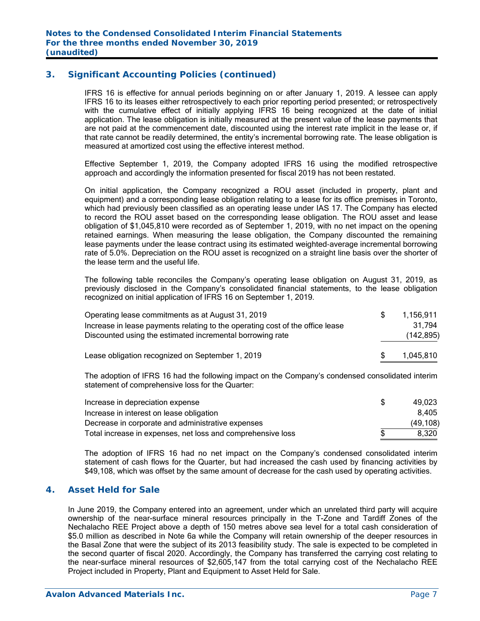## **3. Significant Accounting Policies (continued)**

 IFRS 16 is effective for annual periods beginning on or after January 1, 2019. A lessee can apply IFRS 16 to its leases either retrospectively to each prior reporting period presented; or retrospectively with the cumulative effect of initially applying IFRS 16 being recognized at the date of initial application. The lease obligation is initially measured at the present value of the lease payments that are not paid at the commencement date, discounted using the interest rate implicit in the lease or, if that rate cannot be readily determined, the entity's incremental borrowing rate. The lease obligation is measured at amortized cost using the effective interest method.

Effective September 1, 2019, the Company adopted IFRS 16 using the modified retrospective approach and accordingly the information presented for fiscal 2019 has not been restated.

 On initial application, the Company recognized a ROU asset (included in property, plant and equipment) and a corresponding lease obligation relating to a lease for its office premises in Toronto, which had previously been classified as an operating lease under IAS 17. The Company has elected to record the ROU asset based on the corresponding lease obligation. The ROU asset and lease obligation of \$1,045,810 were recorded as of September 1, 2019, with no net impact on the opening retained earnings. When measuring the lease obligation, the Company discounted the remaining lease payments under the lease contract using its estimated weighted‐average incremental borrowing rate of 5.0%. Depreciation on the ROU asset is recognized on a straight line basis over the shorter of the lease term and the useful life.

 The following table reconciles the Company's operating lease obligation on August 31, 2019, as previously disclosed in the Company's consolidated financial statements, to the lease obligation recognized on initial application of IFRS 16 on September 1, 2019.

| Operating lease commitments as at August 31, 2019                             | 1.156.911  |
|-------------------------------------------------------------------------------|------------|
| Increase in lease payments relating to the operating cost of the office lease | 31.794     |
| Discounted using the estimated incremental borrowing rate                     | (142, 895) |
|                                                                               |            |
| Lease obligation recognized on September 1, 2019                              | 1,045,810  |

 The adoption of IFRS 16 had the following impact on the Company's condensed consolidated interim statement of comprehensive loss for the Quarter:

| Increase in depreciation expense                            | 49.023    |
|-------------------------------------------------------------|-----------|
| Increase in interest on lease obligation                    | 8.405     |
| Decrease in corporate and administrative expenses           | (49, 108) |
| Total increase in expenses, net loss and comprehensive loss | 8.320     |

 The adoption of IFRS 16 had no net impact on the Company's condensed consolidated interim statement of cash flows for the Quarter, but had increased the cash used by financing activities by \$49,108, which was offset by the same amount of decrease for the cash used by operating activities.

## **4. Asset Held for Sale**

In June 2019, the Company entered into an agreement, under which an unrelated third party will acquire ownership of the near-surface mineral resources principally in the T-Zone and Tardiff Zones of the Nechalacho REE Project above a depth of 150 metres above sea level for a total cash consideration of \$5.0 million as described in Note 6a while the Company will retain ownership of the deeper resources in the Basal Zone that were the subject of its 2013 feasibility study. The sale is expected to be completed in the second quarter of fiscal 2020. Accordingly, the Company has transferred the carrying cost relating to the near-surface mineral resources of \$2,605,147 from the total carrying cost of the Nechalacho REE Project included in Property, Plant and Equipment to Asset Held for Sale.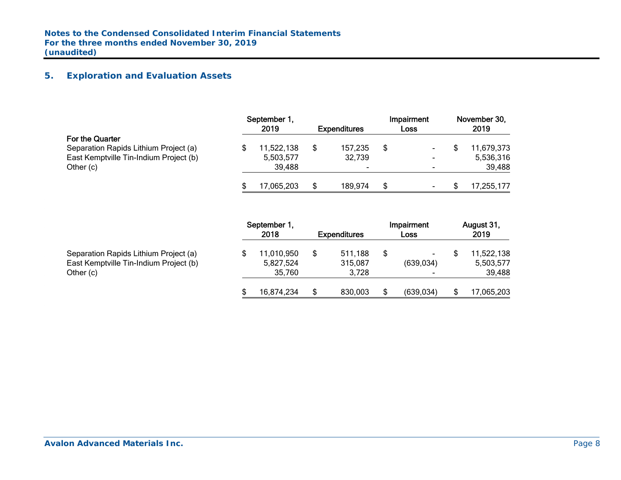## **5. Exploration and Evaluation Assets**

|                                                                                                                 | September 1,<br>2019              | <b>Expenditures</b> | Impairment<br>Loss                         | November 30,<br>2019              |
|-----------------------------------------------------------------------------------------------------------------|-----------------------------------|---------------------|--------------------------------------------|-----------------------------------|
| For the Quarter<br>Separation Rapids Lithium Project (a)<br>East Kemptville Tin-Indium Project (b)<br>Other (c) | 11,522,138<br>5,503,577<br>39.488 | 157,235<br>32,739   | $\sim$<br>$\blacksquare$<br>$\blacksquare$ | 11,679,373<br>5,536,316<br>39,488 |
|                                                                                                                 | 17,065,203                        | 189.974             | $\blacksquare$                             | 17,255,177                        |

|                                        | September 1,<br>2018 | <b>Expenditures</b> | Impairment<br>Loss       | August 31,<br>2019 |
|----------------------------------------|----------------------|---------------------|--------------------------|--------------------|
| Separation Rapids Lithium Project (a)  | 11,010,950           | 511,188             | ۰.                       | 11,522,138         |
| East Kemptville Tin-Indium Project (b) | 5,827,524            | 315,087             | (639, 034)               | 5,503,577          |
| Other (c)                              | 35.760               | 3.728               | $\overline{\phantom{a}}$ | 39,488             |
|                                        | 16,874,234           | 830,003             | (639, 034)               | \$<br>17,065,203   |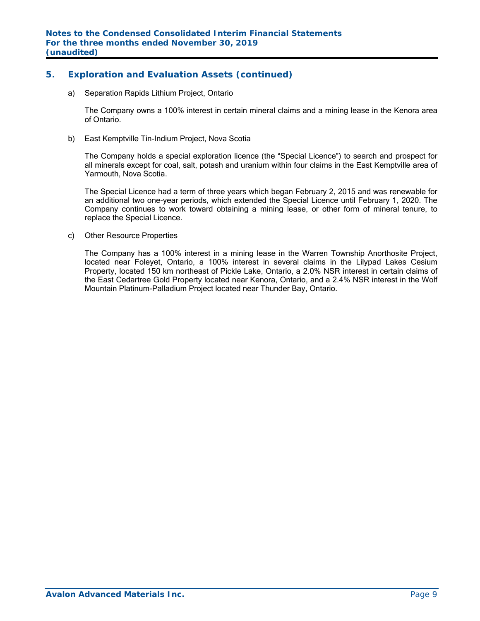## **5. Exploration and Evaluation Assets (continued)**

a) Separation Rapids Lithium Project, Ontario

The Company owns a 100% interest in certain mineral claims and a mining lease in the Kenora area of Ontario.

b) East Kemptville Tin-Indium Project, Nova Scotia

The Company holds a special exploration licence (the "Special Licence") to search and prospect for all minerals except for coal, salt, potash and uranium within four claims in the East Kemptville area of Yarmouth, Nova Scotia.

The Special Licence had a term of three years which began February 2, 2015 and was renewable for an additional two one-year periods, which extended the Special Licence until February 1, 2020. The Company continues to work toward obtaining a mining lease, or other form of mineral tenure, to replace the Special Licence.

c) Other Resource Properties

The Company has a 100% interest in a mining lease in the Warren Township Anorthosite Project, located near Foleyet, Ontario, a 100% interest in several claims in the Lilypad Lakes Cesium Property, located 150 km northeast of Pickle Lake, Ontario, a 2.0% NSR interest in certain claims of the East Cedartree Gold Property located near Kenora, Ontario, and a 2.4% NSR interest in the Wolf Mountain Platinum-Palladium Project located near Thunder Bay, Ontario.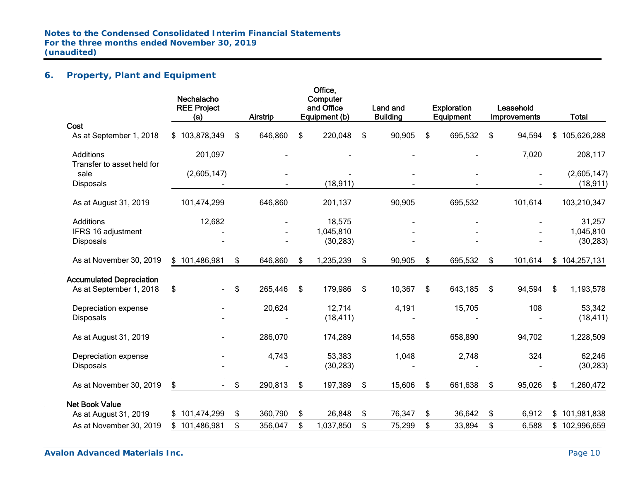## **6. Property, Plant and Equipment**

|                                 | Nechalacho<br><b>REE Project</b><br>(a) |        | Airstrip |     | Office,<br>Computer<br>and Office<br>Equipment (b) | Land and<br><b>Building</b> | <b>Exploration</b><br><b>Equipment</b> | Leasehold<br>Improvements | <b>Total</b>      |
|---------------------------------|-----------------------------------------|--------|----------|-----|----------------------------------------------------|-----------------------------|----------------------------------------|---------------------------|-------------------|
| Cost                            |                                         |        |          |     |                                                    |                             |                                        |                           |                   |
| As at September 1, 2018         | \$103,878,349                           | \$     | 646,860  | \$  | 220,048                                            | \$<br>90,905                | \$<br>695,532                          | \$<br>94,594              | \$<br>105,626,288 |
| Additions                       | 201,097                                 |        |          |     |                                                    |                             |                                        | 7,020                     | 208,117           |
| Transfer to asset held for      |                                         |        |          |     |                                                    |                             |                                        |                           |                   |
| sale                            | (2,605,147)                             |        |          |     |                                                    |                             |                                        |                           | (2,605,147)       |
| <b>Disposals</b>                |                                         |        |          |     | (18, 911)                                          |                             |                                        |                           | (18, 911)         |
| As at August 31, 2019           | 101,474,299                             |        | 646,860  |     | 201,137                                            | 90,905                      | 695,532                                | 101,614                   | 103,210,347       |
| Additions                       | 12,682                                  |        |          |     | 18,575                                             |                             |                                        |                           | 31,257            |
| IFRS 16 adjustment              |                                         |        |          |     | 1,045,810                                          |                             |                                        |                           | 1,045,810         |
| <b>Disposals</b>                |                                         |        |          |     | (30, 283)                                          |                             |                                        |                           | (30, 283)         |
| As at November 30, 2019         | \$101,486,981                           | \$     | 646,860  | \$  | 1,235,239                                          | \$<br>90,905                | \$<br>695,532                          | \$<br>101,614             | \$104,257,131     |
| <b>Accumulated Depreciation</b> |                                         |        |          |     |                                                    |                             |                                        |                           |                   |
| As at September 1, 2018         | \$                                      | \$     | 265,446  | -\$ | 179,986                                            | \$<br>10,367                | \$<br>643,185                          | \$<br>94,594              | 1,193,578<br>\$   |
| Depreciation expense            |                                         |        | 20,624   |     | 12,714                                             | 4,191                       | 15,705                                 | 108                       | 53,342            |
| <b>Disposals</b>                |                                         |        |          |     | (18, 411)                                          |                             |                                        |                           | (18, 411)         |
| As at August 31, 2019           |                                         |        | 286,070  |     | 174,289                                            | 14,558                      | 658,890                                | 94,702                    | 1,228,509         |
| Depreciation expense            |                                         |        | 4,743    |     | 53,383                                             | 1,048                       | 2,748                                  | 324                       | 62,246            |
| <b>Disposals</b>                |                                         |        |          |     | (30, 283)                                          |                             |                                        |                           | (30, 283)         |
| As at November 30, 2019         | \$                                      | $-$ \$ | 290,813  | \$  | 197,389                                            | \$<br>15,606                | \$<br>661,638                          | \$<br>95,026              | \$<br>1,260,472   |
| <b>Net Book Value</b>           |                                         |        |          |     |                                                    |                             |                                        |                           |                   |
| As at August 31, 2019           | \$101,474,299                           | \$     | 360,790  | \$  | 26,848                                             | \$<br>76,347                | \$<br>36,642                           | \$<br>6,912               | \$101,981,838     |
| As at November 30, 2019         | \$101,486,981                           | \$     | 356,047  | \$  | 1,037,850                                          | \$<br>75,299                | \$<br>33,894                           | \$<br>6,588               | \$<br>102,996,659 |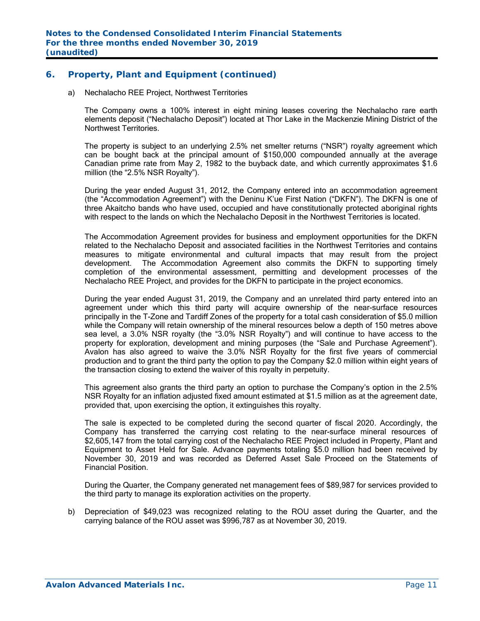## **6. Property, Plant and Equipment (continued)**

a) Nechalacho REE Project, Northwest Territories

The Company owns a 100% interest in eight mining leases covering the Nechalacho rare earth elements deposit ("Nechalacho Deposit") located at Thor Lake in the Mackenzie Mining District of the Northwest Territories.

The property is subject to an underlying 2.5% net smelter returns ("NSR") royalty agreement which can be bought back at the principal amount of \$150,000 compounded annually at the average Canadian prime rate from May 2, 1982 to the buyback date, and which currently approximates \$1.6 million (the "2.5% NSR Royalty").

During the year ended August 31, 2012, the Company entered into an accommodation agreement (the "Accommodation Agreement") with the Deninu K'ue First Nation ("DKFN"). The DKFN is one of three Akaitcho bands who have used, occupied and have constitutionally protected aboriginal rights with respect to the lands on which the Nechalacho Deposit in the Northwest Territories is located.

The Accommodation Agreement provides for business and employment opportunities for the DKFN related to the Nechalacho Deposit and associated facilities in the Northwest Territories and contains measures to mitigate environmental and cultural impacts that may result from the project development. The Accommodation Agreement also commits the DKFN to supporting timely completion of the environmental assessment, permitting and development processes of the Nechalacho REE Project, and provides for the DKFN to participate in the project economics.

 During the year ended August 31, 2019, the Company and an unrelated third party entered into an agreement under which this third party will acquire ownership of the near-surface resources principally in the T-Zone and Tardiff Zones of the property for a total cash consideration of \$5.0 million while the Company will retain ownership of the mineral resources below a depth of 150 metres above sea level, a 3.0% NSR royalty (the "3.0% NSR Royalty") and will continue to have access to the property for exploration, development and mining purposes (the "Sale and Purchase Agreement"). Avalon has also agreed to waive the 3.0% NSR Royalty for the first five years of commercial production and to grant the third party the option to pay the Company \$2.0 million within eight years of the transaction closing to extend the waiver of this royalty in perpetuity.

 This agreement also grants the third party an option to purchase the Company's option in the 2.5% NSR Royalty for an inflation adjusted fixed amount estimated at \$1.5 million as at the agreement date, provided that, upon exercising the option, it extinguishes this royalty.

The sale is expected to be completed during the second quarter of fiscal 2020. Accordingly, the Company has transferred the carrying cost relating to the near-surface mineral resources of \$2,605,147 from the total carrying cost of the Nechalacho REE Project included in Property, Plant and Equipment to Asset Held for Sale. Advance payments totaling \$5.0 million had been received by November 30, 2019 and was recorded as Deferred Asset Sale Proceed on the Statements of Financial Position.

 During the Quarter, the Company generated net management fees of \$89,987 for services provided to the third party to manage its exploration activities on the property.

b) Depreciation of \$49,023 was recognized relating to the ROU asset during the Quarter, and the carrying balance of the ROU asset was \$996,787 as at November 30, 2019.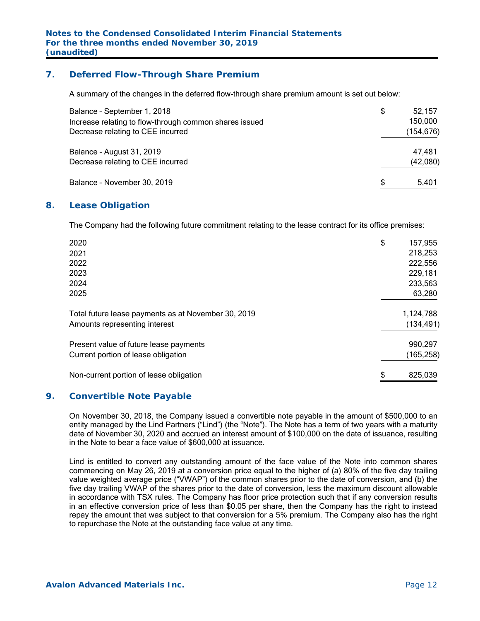## **7. Deferred Flow-Through Share Premium**

A summary of the changes in the deferred flow-through share premium amount is set out below:

| Balance - September 1, 2018<br>Increase relating to flow-through common shares issued<br>Decrease relating to CEE incurred | \$<br>52,157<br>150,000<br>(154,676) |
|----------------------------------------------------------------------------------------------------------------------------|--------------------------------------|
| Balance - August 31, 2019                                                                                                  | 47,481                               |
| Decrease relating to CEE incurred<br>Balance - November 30, 2019                                                           | \$<br>(42,080)<br>5.401              |

## **8. Lease Obligation**

The Company had the following future commitment relating to the lease contract for its office premises:

| \$<br>825,039 |
|---------------|
| (165, 258)    |
| 990,297       |
| (134, 491)    |
| 1,124,788     |
| 63,280        |
| 233,563       |
| 229,181       |
| 222,556       |
| 218,253       |
| \$<br>157,955 |
|               |

## **9. Convertible Note Payable**

On November 30, 2018, the Company issued a convertible note payable in the amount of \$500,000 to an entity managed by the Lind Partners ("Lind") (the "Note"). The Note has a term of two years with a maturity date of November 30, 2020 and accrued an interest amount of \$100,000 on the date of issuance, resulting in the Note to bear a face value of \$600,000 at issuance.

Lind is entitled to convert any outstanding amount of the face value of the Note into common shares commencing on May 26, 2019 at a conversion price equal to the higher of (a) 80% of the five day trailing value weighted average price ("VWAP") of the common shares prior to the date of conversion, and (b) the five day trailing VWAP of the shares prior to the date of conversion, less the maximum discount allowable in accordance with TSX rules. The Company has floor price protection such that if any conversion results in an effective conversion price of less than \$0.05 per share, then the Company has the right to instead repay the amount that was subject to that conversion for a 5% premium. The Company also has the right to repurchase the Note at the outstanding face value at any time.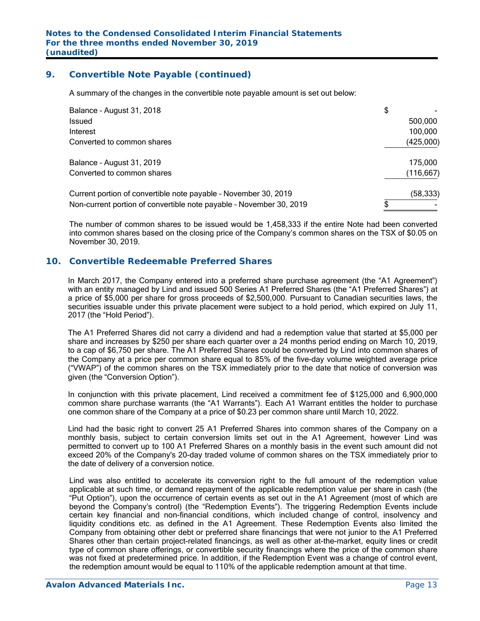## **9. Convertible Note Payable (continued)**

A summary of the changes in the convertible note payable amount is set out below:

| Balance - August 31, 2018                                           | \$ |            |
|---------------------------------------------------------------------|----|------------|
| Issued                                                              |    | 500,000    |
| Interest                                                            |    | 100,000    |
| Converted to common shares                                          |    | (425,000)  |
| Balance - August 31, 2019                                           |    | 175.000    |
| Converted to common shares                                          |    | (116, 667) |
| Current portion of convertible note payable - November 30, 2019     |    | (58, 333)  |
| Non-current portion of convertible note payable - November 30, 2019 | S  |            |

 The number of common shares to be issued would be 1,458,333 if the entire Note had been converted into common shares based on the closing price of the Company's common shares on the TSX of \$0.05 on November 30, 2019.

## **10. Convertible Redeemable Preferred Shares**

In March 2017, the Company entered into a preferred share purchase agreement (the "A1 Agreement") with an entity managed by Lind and issued 500 Series A1 Preferred Shares (the "A1 Preferred Shares") at a price of \$5,000 per share for gross proceeds of \$2,500,000. Pursuant to Canadian securities laws, the securities issuable under this private placement were subject to a hold period, which expired on July 11, 2017 (the "Hold Period").

The A1 Preferred Shares did not carry a dividend and had a redemption value that started at \$5,000 per share and increases by \$250 per share each quarter over a 24 months period ending on March 10, 2019, to a cap of \$6,750 per share. The A1 Preferred Shares could be converted by Lind into common shares of the Company at a price per common share equal to 85% of the five-day volume weighted average price ("VWAP") of the common shares on the TSX immediately prior to the date that notice of conversion was given (the "Conversion Option").

In conjunction with this private placement, Lind received a commitment fee of \$125,000 and 6,900,000 common share purchase warrants (the "A1 Warrants"). Each A1 Warrant entitles the holder to purchase one common share of the Company at a price of \$0.23 per common share until March 10, 2022.

Lind had the basic right to convert 25 A1 Preferred Shares into common shares of the Company on a monthly basis, subject to certain conversion limits set out in the A1 Agreement, however Lind was permitted to convert up to 100 A1 Preferred Shares on a monthly basis in the event such amount did not exceed 20% of the Company's 20-day traded volume of common shares on the TSX immediately prior to the date of delivery of a conversion notice.

Lind was also entitled to accelerate its conversion right to the full amount of the redemption value applicable at such time, or demand repayment of the applicable redemption value per share in cash (the "Put Option"), upon the occurrence of certain events as set out in the A1 Agreement (most of which are beyond the Company's control) (the "Redemption Events"). The triggering Redemption Events include certain key financial and non-financial conditions, which included change of control, insolvency and liquidity conditions etc. as defined in the A1 Agreement. These Redemption Events also limited the Company from obtaining other debt or preferred share financings that were not junior to the A1 Preferred Shares other than certain project-related financings, as well as other at-the-market, equity lines or credit type of common share offerings, or convertible security financings where the price of the common share was not fixed at predetermined price. In addition, if the Redemption Event was a change of control event, the redemption amount would be equal to 110% of the applicable redemption amount at that time.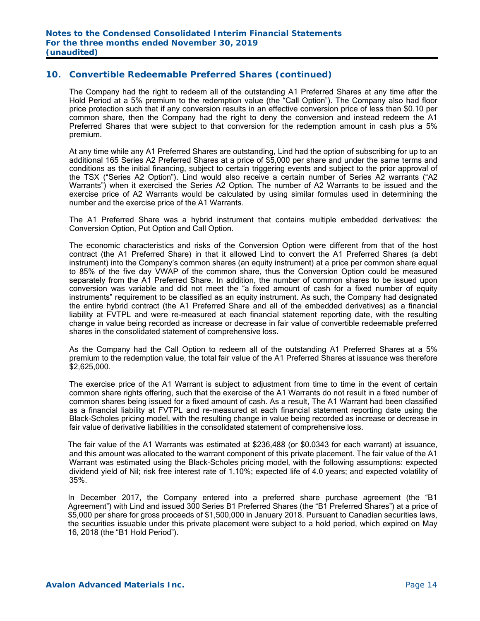The Company had the right to redeem all of the outstanding A1 Preferred Shares at any time after the Hold Period at a 5% premium to the redemption value (the "Call Option"). The Company also had floor price protection such that if any conversion results in an effective conversion price of less than \$0.10 per common share, then the Company had the right to deny the conversion and instead redeem the A1 Preferred Shares that were subject to that conversion for the redemption amount in cash plus a 5% premium.

At any time while any A1 Preferred Shares are outstanding, Lind had the option of subscribing for up to an additional 165 Series A2 Preferred Shares at a price of \$5,000 per share and under the same terms and conditions as the initial financing, subject to certain triggering events and subject to the prior approval of the TSX ("Series A2 Option"). Lind would also receive a certain number of Series A2 warrants ("A2 Warrants") when it exercised the Series A2 Option. The number of A2 Warrants to be issued and the exercise price of A2 Warrants would be calculated by using similar formulas used in determining the number and the exercise price of the A1 Warrants.

The A1 Preferred Share was a hybrid instrument that contains multiple embedded derivatives: the Conversion Option, Put Option and Call Option.

The economic characteristics and risks of the Conversion Option were different from that of the host contract (the A1 Preferred Share) in that it allowed Lind to convert the A1 Preferred Shares (a debt instrument) into the Company's common shares (an equity instrument) at a price per common share equal to 85% of the five day VWAP of the common share, thus the Conversion Option could be measured separately from the A1 Preferred Share. In addition, the number of common shares to be issued upon conversion was variable and did not meet the "a fixed amount of cash for a fixed number of equity instruments" requirement to be classified as an equity instrument. As such, the Company had designated the entire hybrid contract (the A1 Preferred Share and all of the embedded derivatives) as a financial liability at FVTPL and were re-measured at each financial statement reporting date, with the resulting change in value being recorded as increase or decrease in fair value of convertible redeemable preferred shares in the consolidated statement of comprehensive loss.

As the Company had the Call Option to redeem all of the outstanding A1 Preferred Shares at a 5% premium to the redemption value, the total fair value of the A1 Preferred Shares at issuance was therefore \$2,625,000.

The exercise price of the A1 Warrant is subject to adjustment from time to time in the event of certain common share rights offering, such that the exercise of the A1 Warrants do not result in a fixed number of common shares being issued for a fixed amount of cash. As a result, The A1 Warrant had been classified as a financial liability at FVTPL and re-measured at each financial statement reporting date using the Black-Scholes pricing model, with the resulting change in value being recorded as increase or decrease in fair value of derivative liabilities in the consolidated statement of comprehensive loss.

 The fair value of the A1 Warrants was estimated at \$236,488 (or \$0.0343 for each warrant) at issuance, and this amount was allocated to the warrant component of this private placement. The fair value of the A1 Warrant was estimated using the Black-Scholes pricing model, with the following assumptions: expected dividend yield of Nil; risk free interest rate of 1.10%; expected life of 4.0 years; and expected volatility of 35%.

In December 2017, the Company entered into a preferred share purchase agreement (the "B1 Agreement") with Lind and issued 300 Series B1 Preferred Shares (the "B1 Preferred Shares") at a price of \$5,000 per share for gross proceeds of \$1,500,000 in January 2018. Pursuant to Canadian securities laws, the securities issuable under this private placement were subject to a hold period, which expired on May 16, 2018 (the "B1 Hold Period").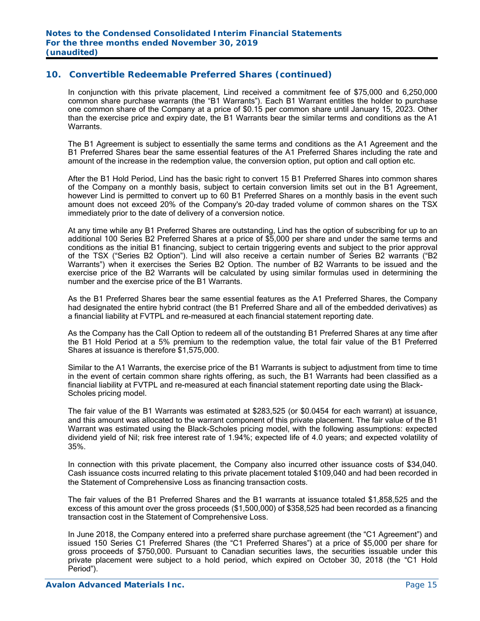In conjunction with this private placement, Lind received a commitment fee of \$75,000 and 6,250,000 common share purchase warrants (the "B1 Warrants"). Each B1 Warrant entitles the holder to purchase one common share of the Company at a price of \$0.15 per common share until January 15, 2023. Other than the exercise price and expiry date, the B1 Warrants bear the similar terms and conditions as the A1 Warrants.

The B1 Agreement is subject to essentially the same terms and conditions as the A1 Agreement and the B1 Preferred Shares bear the same essential features of the A1 Preferred Shares including the rate and amount of the increase in the redemption value, the conversion option, put option and call option etc.

After the B1 Hold Period, Lind has the basic right to convert 15 B1 Preferred Shares into common shares of the Company on a monthly basis, subject to certain conversion limits set out in the B1 Agreement, however Lind is permitted to convert up to 60 B1 Preferred Shares on a monthly basis in the event such amount does not exceed 20% of the Company's 20-day traded volume of common shares on the TSX immediately prior to the date of delivery of a conversion notice.

At any time while any B1 Preferred Shares are outstanding, Lind has the option of subscribing for up to an additional 100 Series B2 Preferred Shares at a price of \$5,000 per share and under the same terms and conditions as the initial B1 financing, subject to certain triggering events and subject to the prior approval of the TSX ("Series B2 Option"). Lind will also receive a certain number of Series B2 warrants ("B2 Warrants") when it exercises the Series B2 Option. The number of B2 Warrants to be issued and the exercise price of the B2 Warrants will be calculated by using similar formulas used in determining the number and the exercise price of the B1 Warrants.

As the B1 Preferred Shares bear the same essential features as the A1 Preferred Shares, the Company had designated the entire hybrid contract (the B1 Preferred Share and all of the embedded derivatives) as a financial liability at FVTPL and re-measured at each financial statement reporting date.

As the Company has the Call Option to redeem all of the outstanding B1 Preferred Shares at any time after the B1 Hold Period at a 5% premium to the redemption value, the total fair value of the B1 Preferred Shares at issuance is therefore \$1,575,000.

Similar to the A1 Warrants, the exercise price of the B1 Warrants is subject to adjustment from time to time in the event of certain common share rights offering, as such, the B1 Warrants had been classified as a financial liability at FVTPL and re-measured at each financial statement reporting date using the Black-Scholes pricing model.

 The fair value of the B1 Warrants was estimated at \$283,525 (or \$0.0454 for each warrant) at issuance, and this amount was allocated to the warrant component of this private placement. The fair value of the B1 Warrant was estimated using the Black-Scholes pricing model, with the following assumptions: expected dividend yield of Nil; risk free interest rate of 1.94%; expected life of 4.0 years; and expected volatility of 35%.

In connection with this private placement, the Company also incurred other issuance costs of \$34,040. Cash issuance costs incurred relating to this private placement totaled \$109,040 and had been recorded in the Statement of Comprehensive Loss as financing transaction costs.

The fair values of the B1 Preferred Shares and the B1 warrants at issuance totaled \$1,858,525 and the excess of this amount over the gross proceeds (\$1,500,000) of \$358,525 had been recorded as a financing transaction cost in the Statement of Comprehensive Loss.

In June 2018, the Company entered into a preferred share purchase agreement (the "C1 Agreement") and issued 150 Series C1 Preferred Shares (the "C1 Preferred Shares") at a price of \$5,000 per share for gross proceeds of \$750,000. Pursuant to Canadian securities laws, the securities issuable under this private placement were subject to a hold period, which expired on October 30, 2018 (the "C1 Hold Period").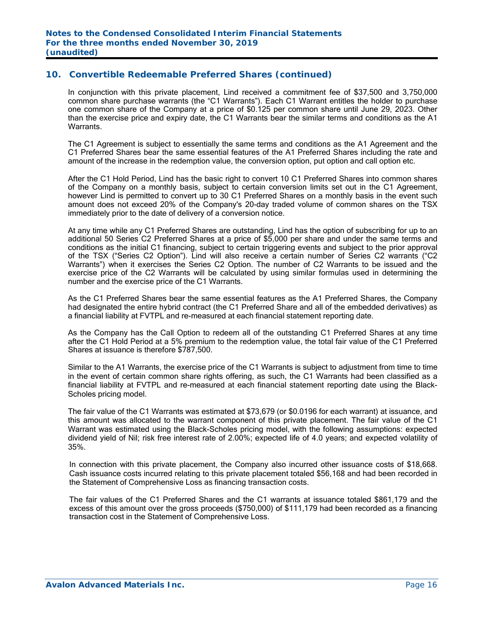In conjunction with this private placement, Lind received a commitment fee of \$37,500 and 3,750,000 common share purchase warrants (the "C1 Warrants"). Each C1 Warrant entitles the holder to purchase one common share of the Company at a price of \$0.125 per common share until June 29, 2023. Other than the exercise price and expiry date, the C1 Warrants bear the similar terms and conditions as the A1 Warrants.

The C1 Agreement is subject to essentially the same terms and conditions as the A1 Agreement and the C1 Preferred Shares bear the same essential features of the A1 Preferred Shares including the rate and amount of the increase in the redemption value, the conversion option, put option and call option etc.

After the C1 Hold Period, Lind has the basic right to convert 10 C1 Preferred Shares into common shares of the Company on a monthly basis, subject to certain conversion limits set out in the C1 Agreement, however Lind is permitted to convert up to 30 C1 Preferred Shares on a monthly basis in the event such amount does not exceed 20% of the Company's 20-day traded volume of common shares on the TSX immediately prior to the date of delivery of a conversion notice.

At any time while any C1 Preferred Shares are outstanding, Lind has the option of subscribing for up to an additional 50 Series C2 Preferred Shares at a price of \$5,000 per share and under the same terms and conditions as the initial C1 financing, subject to certain triggering events and subject to the prior approval of the TSX ("Series C2 Option"). Lind will also receive a certain number of Series C2 warrants ("C2 Warrants") when it exercises the Series C2 Option. The number of C2 Warrants to be issued and the exercise price of the C2 Warrants will be calculated by using similar formulas used in determining the number and the exercise price of the C1 Warrants.

As the C1 Preferred Shares bear the same essential features as the A1 Preferred Shares, the Company had designated the entire hybrid contract (the C1 Preferred Share and all of the embedded derivatives) as a financial liability at FVTPL and re-measured at each financial statement reporting date.

As the Company has the Call Option to redeem all of the outstanding C1 Preferred Shares at any time after the C1 Hold Period at a 5% premium to the redemption value, the total fair value of the C1 Preferred Shares at issuance is therefore \$787,500.

Similar to the A1 Warrants, the exercise price of the C1 Warrants is subject to adjustment from time to time in the event of certain common share rights offering, as such, the C1 Warrants had been classified as a financial liability at FVTPL and re-measured at each financial statement reporting date using the Black-Scholes pricing model.

The fair value of the C1 Warrants was estimated at \$73,679 (or \$0.0196 for each warrant) at issuance, and this amount was allocated to the warrant component of this private placement. The fair value of the C1 Warrant was estimated using the Black-Scholes pricing model, with the following assumptions: expected dividend yield of Nil; risk free interest rate of 2.00%; expected life of 4.0 years; and expected volatility of 35%.

In connection with this private placement, the Company also incurred other issuance costs of \$18,668. Cash issuance costs incurred relating to this private placement totaled \$56,168 and had been recorded in the Statement of Comprehensive Loss as financing transaction costs.

The fair values of the C1 Preferred Shares and the C1 warrants at issuance totaled \$861,179 and the excess of this amount over the gross proceeds (\$750,000) of \$111,179 had been recorded as a financing transaction cost in the Statement of Comprehensive Loss.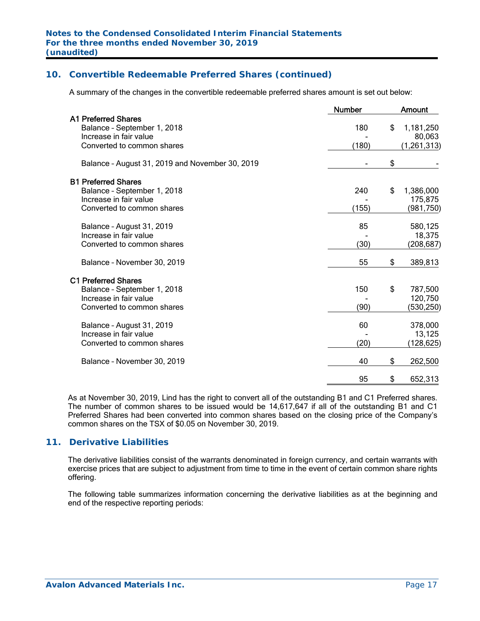A summary of the changes in the convertible redeemable preferred shares amount is set out below:

|                                                 | <b>Number</b> | <b>Amount</b>   |
|-------------------------------------------------|---------------|-----------------|
| <b>A1 Preferred Shares</b>                      |               |                 |
| Balance - September 1, 2018                     | 180           | \$<br>1,181,250 |
| Increase in fair value                          |               | 80,063          |
| Converted to common shares                      | (180)         | (1, 261, 313)   |
| Balance - August 31, 2019 and November 30, 2019 |               | \$              |
| <b>B1 Preferred Shares</b>                      |               |                 |
| Balance - September 1, 2018                     | 240           | \$<br>1,386,000 |
| Increase in fair value                          |               | 175,875         |
| Converted to common shares                      | (155)         | (981,750)       |
| Balance - August 31, 2019                       | 85            | 580,125         |
| Increase in fair value                          |               | 18,375          |
| Converted to common shares                      | (30)          | (208,687)       |
| Balance - November 30, 2019                     | 55            | \$<br>389,813   |
| <b>C1 Preferred Shares</b>                      |               |                 |
| Balance - September 1, 2018                     | 150           | \$<br>787,500   |
| Increase in fair value                          |               | 120,750         |
| Converted to common shares                      | (90)          | (530, 250)      |
| Balance - August 31, 2019                       | 60            | 378,000         |
| Increase in fair value                          |               | 13,125          |
| Converted to common shares                      | (20)          | (128,625)       |
| Balance - November 30, 2019                     | 40            | \$<br>262,500   |
|                                                 | 95            | \$<br>652,313   |
|                                                 |               |                 |

As at November 30, 2019, Lind has the right to convert all of the outstanding B1 and C1 Preferred shares. The number of common shares to be issued would be 14,617,647 if all of the outstanding B1 and C1 Preferred Shares had been converted into common shares based on the closing price of the Company's common shares on the TSX of \$0.05 on November 30, 2019.

## **11. Derivative Liabilities**

The derivative liabilities consist of the warrants denominated in foreign currency, and certain warrants with exercise prices that are subject to adjustment from time to time in the event of certain common share rights offering.

The following table summarizes information concerning the derivative liabilities as at the beginning and end of the respective reporting periods: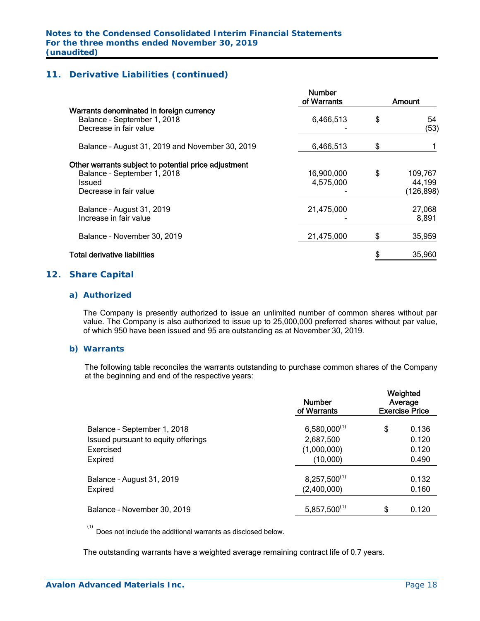## **11. Derivative Liabilities (continued)**

|                                                                                                                                | <b>Number</b><br>of Warrants |    | Amount                          |
|--------------------------------------------------------------------------------------------------------------------------------|------------------------------|----|---------------------------------|
| Warrants denominated in foreign currency<br>Balance - September 1, 2018<br>Decrease in fair value                              | 6,466,513                    | \$ | 54<br>(53)                      |
| Balance - August 31, 2019 and November 30, 2019                                                                                | 6,466,513                    | S  |                                 |
| Other warrants subject to potential price adjustment<br>Balance - September 1, 2018<br><b>Issued</b><br>Decrease in fair value | 16,900,000<br>4,575,000      | \$ | 109,767<br>44,199<br>(126, 898) |
| Balance - August 31, 2019<br>Increase in fair value                                                                            | 21,475,000                   |    | 27,068<br>8,891                 |
| Balance - November 30, 2019                                                                                                    | 21,475,000                   | \$ | 35,959                          |
| <b>Total derivative liabilities</b>                                                                                            |                              |    | 35,960                          |
|                                                                                                                                |                              |    |                                 |

#### **12. Share Capital**

#### *a) Authorized*

 The Company is presently authorized to issue an unlimited number of common shares without par value. The Company is also authorized to issue up to 25,000,000 preferred shares without par value, of which 950 have been issued and 95 are outstanding as at November 30, 2019.

#### *b) Warrants*

The following table reconciles the warrants outstanding to purchase common shares of the Company at the beginning and end of the respective years:

|                                     | <b>Number</b><br>of Warrants | Weighted<br>Average<br><b>Exercise Price</b> |
|-------------------------------------|------------------------------|----------------------------------------------|
| Balance - September 1, 2018         | $6,580,000^{(1)}$            | \$<br>0.136                                  |
| Issued pursuant to equity offerings | 2,687,500                    | 0.120                                        |
| Exercised                           | (1,000,000)                  | 0.120                                        |
| Expired                             | (10,000)                     | 0.490                                        |
| Balance - August 31, 2019           | $8,257,500^{(1)}$            | 0.132                                        |
| Expired                             | (2,400,000)                  | 0.160                                        |
| Balance - November 30, 2019         | $5,857,500^{(1)}$            | \$<br>0.120                                  |

 (1) Does not include the additional warrants as disclosed below.

The outstanding warrants have a weighted average remaining contract life of 0.7 years.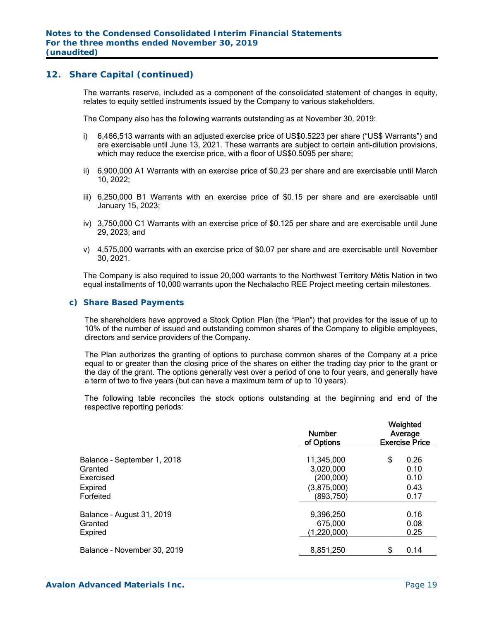#### **12. Share Capital (continued)**

The warrants reserve, included as a component of the consolidated statement of changes in equity, relates to equity settled instruments issued by the Company to various stakeholders.

The Company also has the following warrants outstanding as at November 30, 2019:

- i) 6,466,513 warrants with an adjusted exercise price of US\$0.5223 per share ("US\$ Warrants") and are exercisable until June 13, 2021. These warrants are subject to certain anti-dilution provisions, which may reduce the exercise price, with a floor of US\$0.5095 per share;
- ii) 6,900,000 A1 Warrants with an exercise price of \$0.23 per share and are exercisable until March 10, 2022;
- iii) 6,250,000 B1 Warrants with an exercise price of \$0.15 per share and are exercisable until January 15, 2023;
- iv) 3,750,000 C1 Warrants with an exercise price of \$0.125 per share and are exercisable until June 29, 2023; and
- v) 4,575,000 warrants with an exercise price of \$0.07 per share and are exercisable until November 30, 2021.

The Company is also required to issue 20,000 warrants to the Northwest Territory Métis Nation in two equal installments of 10,000 warrants upon the Nechalacho REE Project meeting certain milestones.

#### *c) Share Based Payments*

The shareholders have approved a Stock Option Plan (the "Plan") that provides for the issue of up to 10% of the number of issued and outstanding common shares of the Company to eligible employees, directors and service providers of the Company.

The Plan authorizes the granting of options to purchase common shares of the Company at a price equal to or greater than the closing price of the shares on either the trading day prior to the grant or the day of the grant. The options generally vest over a period of one to four years, and generally have a term of two to five years (but can have a maximum term of up to 10 years).

The following table reconciles the stock options outstanding at the beginning and end of the respective reporting periods:

|                             | <b>Number</b><br>of Options | Weighted<br>Average<br><b>Exercise Price</b> |      |  |
|-----------------------------|-----------------------------|----------------------------------------------|------|--|
| Balance - September 1, 2018 | 11,345,000                  | \$                                           | 0.26 |  |
| Granted                     | 3,020,000                   |                                              | 0.10 |  |
| Exercised                   | (200,000)                   |                                              | 0.10 |  |
| Expired                     | (3,875,000)                 |                                              | 0.43 |  |
| Forfeited                   | (893,750)                   |                                              | 0.17 |  |
| Balance - August 31, 2019   | 9,396,250                   |                                              | 0.16 |  |
| Granted                     | 675,000                     |                                              | 0.08 |  |
| <b>Expired</b>              | (1,220,000)                 |                                              | 0.25 |  |
| Balance - November 30, 2019 | 8,851,250                   | \$.                                          | 0.14 |  |
|                             |                             |                                              |      |  |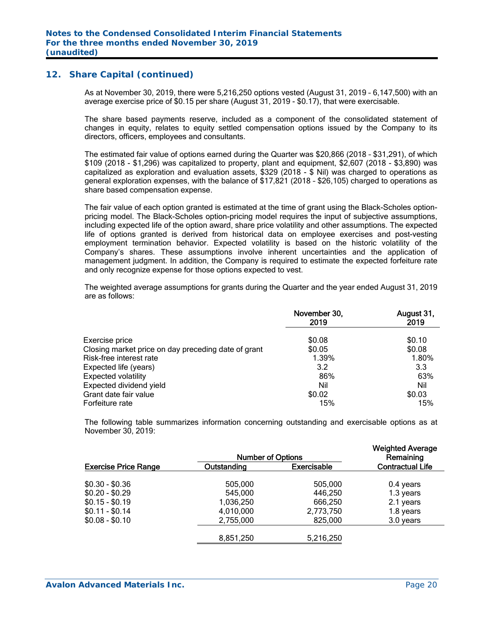#### **12. Share Capital (continued)**

As at November 30, 2019, there were 5,216,250 options vested (August 31, 2019 – 6,147,500) with an average exercise price of \$0.15 per share (August 31, 2019 - \$0.17), that were exercisable.

The share based payments reserve, included as a component of the consolidated statement of changes in equity, relates to equity settled compensation options issued by the Company to its directors, officers, employees and consultants.

The estimated fair value of options earned during the Quarter was \$20,866 (2018 – \$31,291), of which \$109 (2018 - \$1,296) was capitalized to property, plant and equipment, \$2,607 (2018 - \$3,890) was capitalized as exploration and evaluation assets, \$329 (2018 - \$ Nil) was charged to operations as general exploration expenses, with the balance of \$17,821 (2018 – \$26,105) charged to operations as share based compensation expense.

The fair value of each option granted is estimated at the time of grant using the Black-Scholes optionpricing model. The Black-Scholes option-pricing model requires the input of subjective assumptions, including expected life of the option award, share price volatility and other assumptions. The expected life of options granted is derived from historical data on employee exercises and post-vesting employment termination behavior. Expected volatility is based on the historic volatility of the Company's shares. These assumptions involve inherent uncertainties and the application of management judgment. In addition, the Company is required to estimate the expected forfeiture rate and only recognize expense for those options expected to vest.

The weighted average assumptions for grants during the Quarter and the year ended August 31, 2019 are as follows:

|                                                     | November 30,<br>2019 | August 31,<br>2019 |
|-----------------------------------------------------|----------------------|--------------------|
| Exercise price                                      | \$0.08               | \$0.10             |
| Closing market price on day preceding date of grant | \$0.05               | \$0.08             |
| Risk-free interest rate                             | 1.39%                | 1.80%              |
| Expected life (years)                               | 3.2                  | 3.3                |
| <b>Expected volatility</b>                          | 86%                  | 63%                |
| Expected dividend yield                             | Nil                  | Nil                |
| Grant date fair value                               | \$0.02               | \$0.03             |
| Forfeiture rate                                     | 15%                  | 15%                |

The following table summarizes information concerning outstanding and exercisable options as at November 30, 2019:

| <b>Number of Options</b>    |             | <b>Weighted Average</b><br>Remaining |                         |
|-----------------------------|-------------|--------------------------------------|-------------------------|
| <b>Exercise Price Range</b> | Outstanding | <b>Exercisable</b>                   | <b>Contractual Life</b> |
| $$0.30 - $0.36$             | 505,000     | 505,000                              | 0.4 years               |
| $$0.20 - $0.29$             | 545,000     | 446,250                              | 1.3 years               |
| $$0.15 - $0.19$             | 1,036,250   | 666,250                              | 2.1 years               |
| $$0.11 - $0.14$             | 4,010,000   | 2,773,750                            | 1.8 years               |
| $$0.08 - $0.10$             | 2,755,000   | 825,000                              | 3.0 years               |
|                             | 8,851,250   | 5,216,250                            |                         |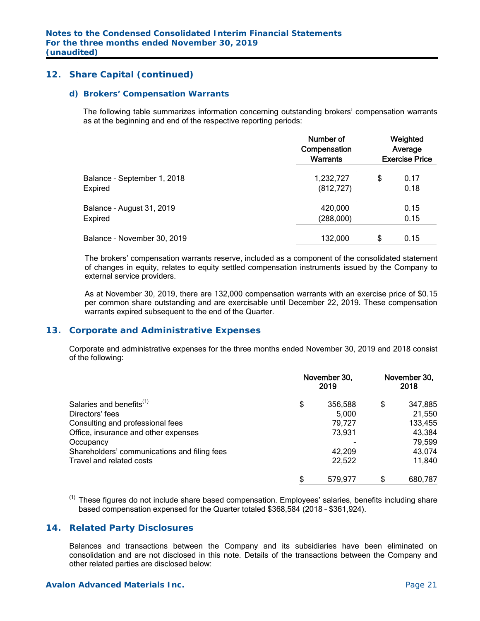## **12. Share Capital (continued)**

#### *d) Brokers' Compensation Warrants*

The following table summarizes information concerning outstanding brokers' compensation warrants as at the beginning and end of the respective reporting periods:

|                             | Number of<br>Compensation<br>Warrants | Weighted<br>Average<br><b>Exercise Price</b> |      |  |
|-----------------------------|---------------------------------------|----------------------------------------------|------|--|
| Balance - September 1, 2018 | 1,232,727                             | \$                                           | 0.17 |  |
| Expired                     | (812, 727)                            |                                              | 0.18 |  |
| Balance - August 31, 2019   | 420,000                               |                                              | 0.15 |  |
| Expired                     | (288,000)                             |                                              | 0.15 |  |
| Balance - November 30, 2019 | 132,000                               | \$                                           | 0.15 |  |

The brokers' compensation warrants reserve, included as a component of the consolidated statement of changes in equity, relates to equity settled compensation instruments issued by the Company to external service providers.

As at November 30, 2019, there are 132,000 compensation warrants with an exercise price of \$0.15 per common share outstanding and are exercisable until December 22, 2019. These compensation warrants expired subsequent to the end of the Quarter.

## **13. Corporate and Administrative Expenses**

 Corporate and administrative expenses for the three months ended November 30, 2019 and 2018 consist of the following:

|                                              | November 30,<br>2019 | November 30,<br>2018 |         |  |
|----------------------------------------------|----------------------|----------------------|---------|--|
| Salaries and benefits <sup>(1)</sup>         | \$<br>356,588        | \$                   | 347,885 |  |
| Directors' fees                              | 5,000                |                      | 21,550  |  |
| Consulting and professional fees             | 79,727               |                      | 133,455 |  |
| Office, insurance and other expenses         | 73,931               |                      | 43,384  |  |
| Occupancy                                    |                      |                      | 79,599  |  |
| Shareholders' communications and filing fees | 42,209               |                      | 43,074  |  |
| Travel and related costs                     | 22,522               |                      | 11,840  |  |
|                                              | \$<br>579.977        | S                    | 680,787 |  |

<sup>(1)</sup> These figures do not include share based compensation. Employees' salaries, benefits including share based compensation expensed for the Quarter totaled \$368,584 (2018 – \$361,924).

## **14. Related Party Disclosures**

Balances and transactions between the Company and its subsidiaries have been eliminated on consolidation and are not disclosed in this note. Details of the transactions between the Company and other related parties are disclosed below: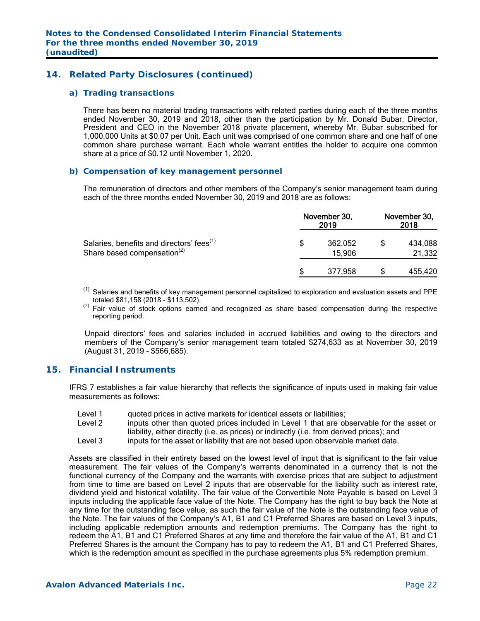## **14. Related Party Disclosures (continued)**

#### *a) Trading transactions*

 There has been no material trading transactions with related parties during each of the three months ended November 30, 2019 and 2018, other than the participation by Mr. Donald Bubar, Director, President and CEO in the November 2018 private placement, whereby Mr. Bubar subscribed for 1,000,000 Units at \$0.07 per Unit. Each unit was comprised of one common share and one half of one common share purchase warrant. Each whole warrant entitles the holder to acquire one common share at a price of \$0.12 until November 1, 2020.

#### *b) Compensation of key management personnel*

 The remuneration of directors and other members of the Company's senior management team during each of the three months ended November 30, 2019 and 2018 are as follows:

|                                                                                                  | November 30, | November 30,<br>2018 |  |                   |
|--------------------------------------------------------------------------------------------------|--------------|----------------------|--|-------------------|
| Salaries, benefits and directors' fees <sup>(1)</sup><br>Share based compensation <sup>(2)</sup> | S            | 362,052<br>15,906    |  | 434,088<br>21,332 |
|                                                                                                  |              | 377,958              |  | 455,420           |

 $<sup>(1)</sup>$  Salaries and benefits of key management personnel capitalized to exploration and evaluation assets and PPE</sup> totaled \$81,158 (2018 - \$113,502).

 $^{(2)}$  Fair value of stock options earned and recognized as share based compensation during the respective reporting period.

Unpaid directors' fees and salaries included in accrued liabilities and owing to the directors and members of the Company's senior management team totaled \$274,633 as at November 30, 2019 (August 31, 2019 - \$566,685).

## **15. Financial Instruments**

IFRS 7 establishes a fair value hierarchy that reflects the significance of inputs used in making fair value measurements as follows:

- Level 1 quoted prices in active markets for identical assets or liabilities;
- Level 2 inputs other than quoted prices included in Level 1 that are observable for the asset or liability, either directly (i.e. as prices) or indirectly (i.e. from derived prices); and
- Level 3 inputs for the asset or liability that are not based upon observable market data.

Assets are classified in their entirety based on the lowest level of input that is significant to the fair value measurement. The fair values of the Company's warrants denominated in a currency that is not the functional currency of the Company and the warrants with exercise prices that are subject to adjustment from time to time are based on Level 2 inputs that are observable for the liability such as interest rate, dividend yield and historical volatility. The fair value of the Convertible Note Payable is based on Level 3 inputs including the applicable face value of the Note. The Company has the right to buy back the Note at any time for the outstanding face value, as such the fair value of the Note is the outstanding face value of the Note. The fair values of the Company's A1, B1 and C1 Preferred Shares are based on Level 3 inputs, including applicable redemption amounts and redemption premiums. The Company has the right to redeem the A1, B1 and C1 Preferred Shares at any time and therefore the fair value of the A1, B1 and C1 Preferred Shares is the amount the Company has to pay to redeem the A1, B1 and C1 Preferred Shares, which is the redemption amount as specified in the purchase agreements plus 5% redemption premium.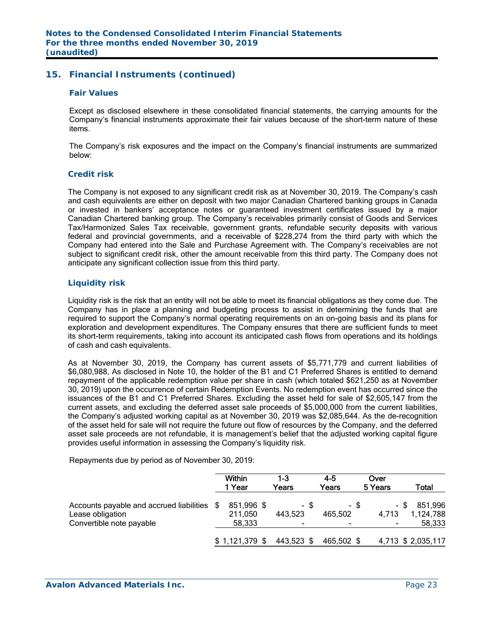## **15. Financial Instruments (continued)**

#### *Fair Values*

Except as disclosed elsewhere in these consolidated financial statements, the carrying amounts for the Company's financial instruments approximate their fair values because of the short-term nature of these items.

The Company's risk exposures and the impact on the Company's financial instruments are summarized below:

#### *Credit risk*

The Company is not exposed to any significant credit risk as at November 30, 2019. The Company's cash and cash equivalents are either on deposit with two major Canadian Chartered banking groups in Canada or invested in bankers' acceptance notes or guaranteed investment certificates issued by a major Canadian Chartered banking group. The Company's receivables primarily consist of Goods and Services Tax/Harmonized Sales Tax receivable, government grants, refundable security deposits with various federal and provincial governments, and a receivable of \$228,274 from the third party with which the Company had entered into the Sale and Purchase Agreement with. The Company's receivables are not subject to significant credit risk, other the amount receivable from this third party. The Company does not anticipate any significant collection issue from this third party.

#### *Liquidity risk*

Liquidity risk is the risk that an entity will not be able to meet its financial obligations as they come due. The Company has in place a planning and budgeting process to assist in determining the funds that are required to support the Company's normal operating requirements on an on-going basis and its plans for exploration and development expenditures. The Company ensures that there are sufficient funds to meet its short-term requirements, taking into account its anticipated cash flows from operations and its holdings of cash and cash equivalents.

As at November 30, 2019, the Company has current assets of \$5,771,779 and current liabilities of \$6,080,988. As disclosed in Note 10, the holder of the B1 and C1 Preferred Shares is entitled to demand repayment of the applicable redemption value per share in cash (which totaled \$621,250 as at November 30, 2019) upon the occurrence of certain Redemption Events. No redemption event has occurred since the issuances of the B1 and C1 Preferred Shares. Excluding the asset held for sale of \$2,605,147 from the current assets, and excluding the deferred asset sale proceeds of \$5,000,000 from the current liabilities, the Company's adjusted working capital as at November 30, 2019 was \$2,085,644. As the de-recognition of the asset held for sale will not require the future out flow of resources by the Company, and the deferred asset sale proceeds are not refundable, it is management's belief that the adjusted working capital figure provides useful information in assessing the Company's liquidity risk.

Repayments due by period as of November 30, 2019:

|                                                                 | Within<br>1 Year      | 1-3<br>Years    | $4 - 5$<br>Years | Over<br>5 Years | Total                |
|-----------------------------------------------------------------|-----------------------|-----------------|------------------|-----------------|----------------------|
| Accounts payable and accrued liabilities \$<br>Lease obligation | 851,996 \$<br>211,050 | - \$<br>443,523 | - \$<br>465,502  | - \$<br>4,713   | 851,996<br>1,124,788 |
| Convertible note payable                                        | 58,333                | ۰               | ۰                |                 | 58,333               |
|                                                                 | $$1,121,379$ \$       | 443,523 \$      | 465,502 \$       |                 | 4,713 \$ 2,035,117   |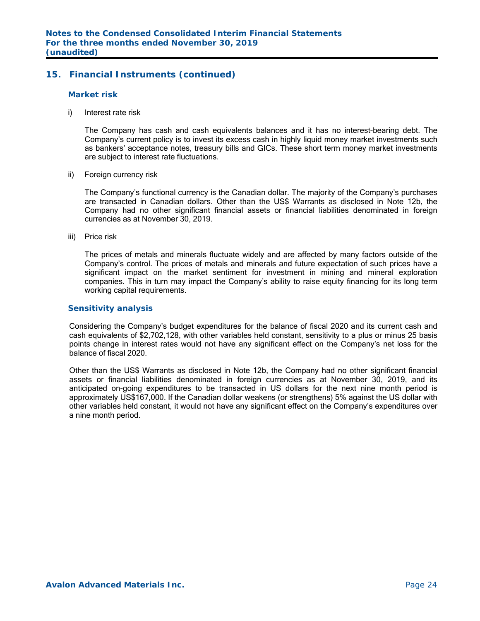## **15. Financial Instruments (continued)**

#### *Market risk*

i) Interest rate risk

 The Company has cash and cash equivalents balances and it has no interest-bearing debt. The Company's current policy is to invest its excess cash in highly liquid money market investments such as bankers' acceptance notes, treasury bills and GICs. These short term money market investments are subject to interest rate fluctuations.

ii) Foreign currency risk

 The Company's functional currency is the Canadian dollar. The majority of the Company's purchases are transacted in Canadian dollars. Other than the US\$ Warrants as disclosed in Note 12b, the Company had no other significant financial assets or financial liabilities denominated in foreign currencies as at November 30, 2019.

iii) Price risk

 The prices of metals and minerals fluctuate widely and are affected by many factors outside of the Company's control. The prices of metals and minerals and future expectation of such prices have a significant impact on the market sentiment for investment in mining and mineral exploration companies. This in turn may impact the Company's ability to raise equity financing for its long term working capital requirements.

#### *Sensitivity analysis*

Considering the Company's budget expenditures for the balance of fiscal 2020 and its current cash and cash equivalents of \$2,702,128, with other variables held constant, sensitivity to a plus or minus 25 basis points change in interest rates would not have any significant effect on the Company's net loss for the balance of fiscal 2020.

Other than the US\$ Warrants as disclosed in Note 12b, the Company had no other significant financial assets or financial liabilities denominated in foreign currencies as at November 30, 2019, and its anticipated on-going expenditures to be transacted in US dollars for the next nine month period is approximately US\$167,000. If the Canadian dollar weakens (or strengthens) 5% against the US dollar with other variables held constant, it would not have any significant effect on the Company's expenditures over a nine month period.